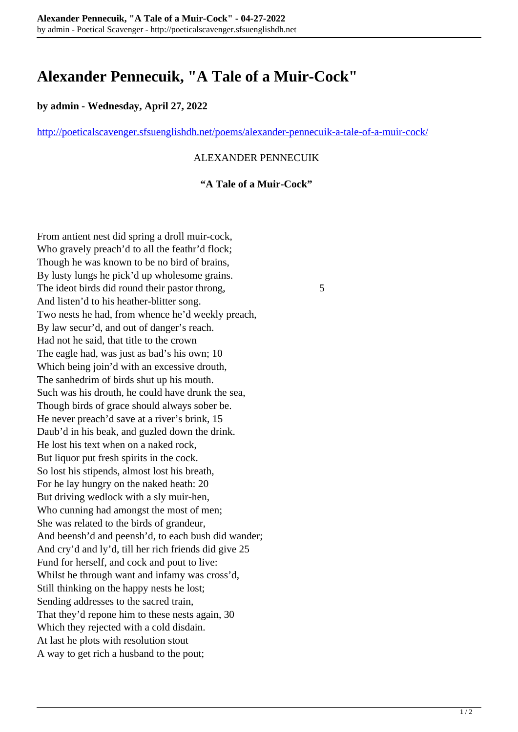# **Alexander Pennecuik, "A Tale of a Muir-Cock"**

## **by admin - Wednesday, April 27, 2022**

<http://poeticalscavenger.sfsuenglishdh.net/poems/alexander-pennecuik-a-tale-of-a-muir-cock/>

# ALEXANDER PENNECUIK

#### **"A Tale of a Muir-Cock"**

From antient nest did spring a droll muir-cock, Who gravely preach'd to all the feathr'd flock; Though he was known to be no bird of brains, By lusty lungs he pick'd up wholesome grains. The ideot birds did round their pastor throng, 5 And listen'd to his heather-blitter song. Two nests he had, from whence he'd weekly preach, By law secur'd, and out of danger's reach. Had not he said, that title to the crown The eagle had, was just as bad's his own; 10 Which being join'd with an excessive drouth, The sanhedrim of birds shut up his mouth. Such was his drouth, he could have drunk the sea, Though birds of grace should always sober be. He never preach'd save at a river's brink, 15 Daub'd in his beak, and guzled down the drink. He lost his text when on a naked rock, But liquor put fresh spirits in the cock. So lost his stipends, almost lost his breath, For he lay hungry on the naked heath: 20 But driving wedlock with a sly muir-hen, Who cunning had amongst the most of men; She was related to the birds of grandeur, And beensh'd and peensh'd, to each bush did wander; And cry'd and ly'd, till her rich friends did give 25 Fund for herself, and cock and pout to live: Whilst he through want and infamy was cross'd, Still thinking on the happy nests he lost; Sending addresses to the sacred train, That they'd repone him to these nests again, 30 Which they rejected with a cold disdain. At last he plots with resolution stout A way to get rich a husband to the pout;